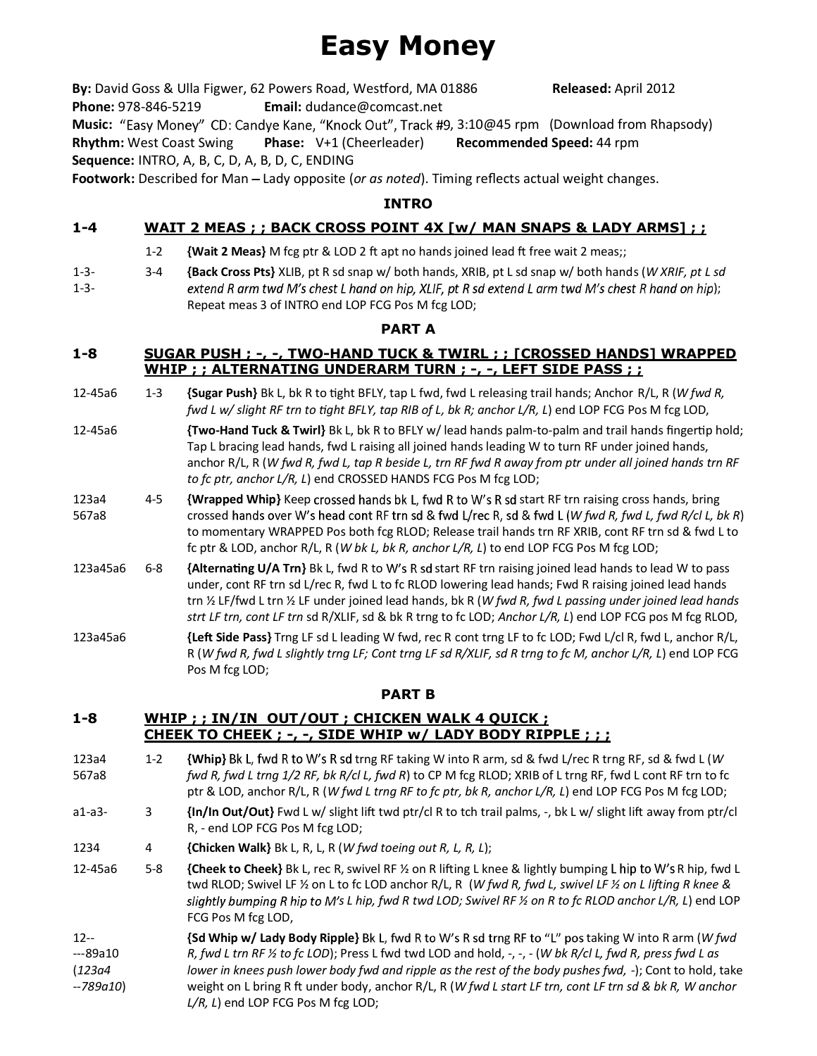# **Easy Money**

By: David Goss & Ulla Figwer, 62 Powers Road, Westford, MA 01886 Released: April 2012 **Phone:** 978-846-5219 **Email:** dudance@comcast.net **Music:** "Easy Money" CD: Candye Kane, "Knock Out", Track #9, 3:10@45 rpm (Download from Rhapsody) **Rhythm:** West Coast Swing **Phase:** V+1 (Cheerleader) **Recommended Speed:** 44 rpm **Sequence:** INTRO, A, B, C, D, A, B, D, C, ENDING

**Footwork:** Described for Man Lady opposite (*or as noted*). Timing reflects actual weight changes.

# **INTRO**

# **1-4 WAIT 2 MEAS ; ; BACK CROSS POINT 4X [w/ MAN SNAPS & LADY ARMS] ; ;**

- 1-2 **{Wait 2 Meas}** M fcg ptr & LOD 2 ft apt no hands joined lead ft free wait 2 meas;;
- 1-3- 1-3- 3-4 **{Back Cross Pts}** XLIB, pt R sd snap w/ both hands, XRIB, pt L sd snap w/ both hands (*W XRIF, pt L sd* extend R arm twd M's chest L hand on hip, XLIF, pt R sd extend L arm twd M's chest R hand on hip); Repeat meas 3 of INTRO end LOP FCG Pos M fcg LOD;

#### **PART A**

### **1-8 SUGAR PUSH ; -, -, TWO-HAND TUCK & TWIRL ; ; [CROSSED HANDS] WRAPPED WHIP ; ; ALTERNATING UNDERARM TURN ; -, -, LEFT SIDE PASS ; ;**

- 12-45a6 1-3 **{Sugar Push}** Bk L, bk R to tight BFLY, tap L fwd, fwd L releasing trail hands; Anchor R/L, R (*W fwd R, fwd L w/ slight RF trn to tight BFLY, tap RIB of L, bk R; anchor L/R, L) end LOP FCG Pos M fcg LOD,*
- 12-45a6 *{Two-Hand Tuck & Twirl}* Bk L, bk R to BFLY w/ lead hands palm-to-palm and trail hands fingertip hold; Tap L bracing lead hands, fwd L raising all joined hands leading W to turn RF under joined hands, anchor R/L, R (*W fwd R, fwd L, tap R beside L, trn RF fwd R away from ptr under all joined hands trn RF to fc ptr, anchor L/R, L*) end CROSSED HANDS FCG Pos M fcg LOD;
- 123a4 567a8 4-5 **{Wrapped Whip}** Keep crossed hands bk L, fwd R to W's R sd start RF trn raising cross hands, bring crossed hands over W's head cont RF trn sd & fwd L/rec R, sd & fwd L (W fwd R, fwd L, fwd R/cl L, bk R) to momentary WRAPPED Pos both fcg RLOD; Release trail hands trn RF XRIB, cont RF trn sd & fwd L to fc ptr & LOD, anchor R/L, R (*W bk L, bk R, anchor L/R, L*) to end LOP FCG Pos M fcg LOD;
- 123a45a6 6-8 **{Alternating U/A Trn}** Bk L, fwd R to W's R sd start RF trn raising joined lead hands to lead W to pass under, cont RF trn sd L/rec R, fwd L to fc RLOD lowering lead hands; Fwd R raising joined lead hands trn ½ LF/fwd L trn ½ LF under joined lead hands, bk R (*W fwd R, fwd L passing under joined lead hands strt LF trn, cont LF trn* sd R/XLIF, sd & bk R trng to fc LOD; *Anchor L/R, L*) end LOP FCG pos M fcg RLOD,
- 123a45a6 **<b>{Left Side Pass}** Trng LF sd L leading W fwd, rec R cont trng LF to fc LOD; Fwd L/cl R, fwd L, anchor R/L, R (*W fwd R, fwd L slightly trng LF; Cont trng LF sd R/XLIF, sd R trng to fc M, anchor L/R, L*) end LOP FCG Pos M fcg LOD;

## **PART B**

## **1-8 WHIP ; ; IN/IN OUT/OUT ; CHICKEN WALK 4 QUICK ; CHEEK TO CHEEK ; -, -, SIDE WHIP w/ LADY BODY RIPPLE ; ; ;**

- 123a4 567a8 1-2 **{Whip}** Bk L, fwd R to W's R sd trng RF taking W into R arm, sd & fwd L/rec R trng RF, sd & fwd L (*W fwd R, fwd L trng 1/2 RF, bk R/cl L, fwd R*) to CP M fcg RLOD; XRIB of L trng RF, fwd L cont RF trn to fc ptr & LOD, anchor R/L, R (*W fwd L trng RF to fc ptr, bk R, anchor L/R, L*) end LOP FCG Pos M fcg LOD;
- a1-a3- 3 **{In/In Out/Out}** Fwd L w/ slight lift twd ptr/cl R to tch trail palms, -, bk L w/ slight lift away from ptr/cl R, - end LOP FCG Pos M fcg LOD;
- 1234 4 **{Chicken Walk}** Bk L, R, L, R (*W fwd toeing out R, L, R, L*);
- 12-45a6 5-8 **{Cheek to Cheek}** Bk L, rec R, swivel RF ½ on R lifting L knee & lightly bumping L hip to W's R hip, fwd L twd RLOD; Swivel LF ½ on L to fc LOD anchor R/L, R (*W fwd R, fwd L, swivel LF ½ on L lifting R knee & s L hip, fwd R twd LOD; Swivel RF ½ on R to fc RLOD anchor L/R, L*) end LOP FCG Pos M fcg LOD,
- 12-- ---89a10 (*123a4 --789a10*) **{Sd Whip w/ Lady Body Ripple}** Bk L, fwd R to W's R sd trng RF to "L" pos taking W into R arm (*W fwd R, fwd L trn RF ½ to fc LOD*); Press L fwd twd LOD and hold, -, -, - (*W bk R/cl L, fwd R, press fwd L as lower in knees push lower body fwd and ripple as the rest of the body pushes fwd, -*); Cont to hold, take weight on L bring R ft under body, anchor R/L, R (*W fwd L start LF trn, cont LF trn sd & bk R, W anchor* L/R, L) end LOP FCG Pos M fcg LOD;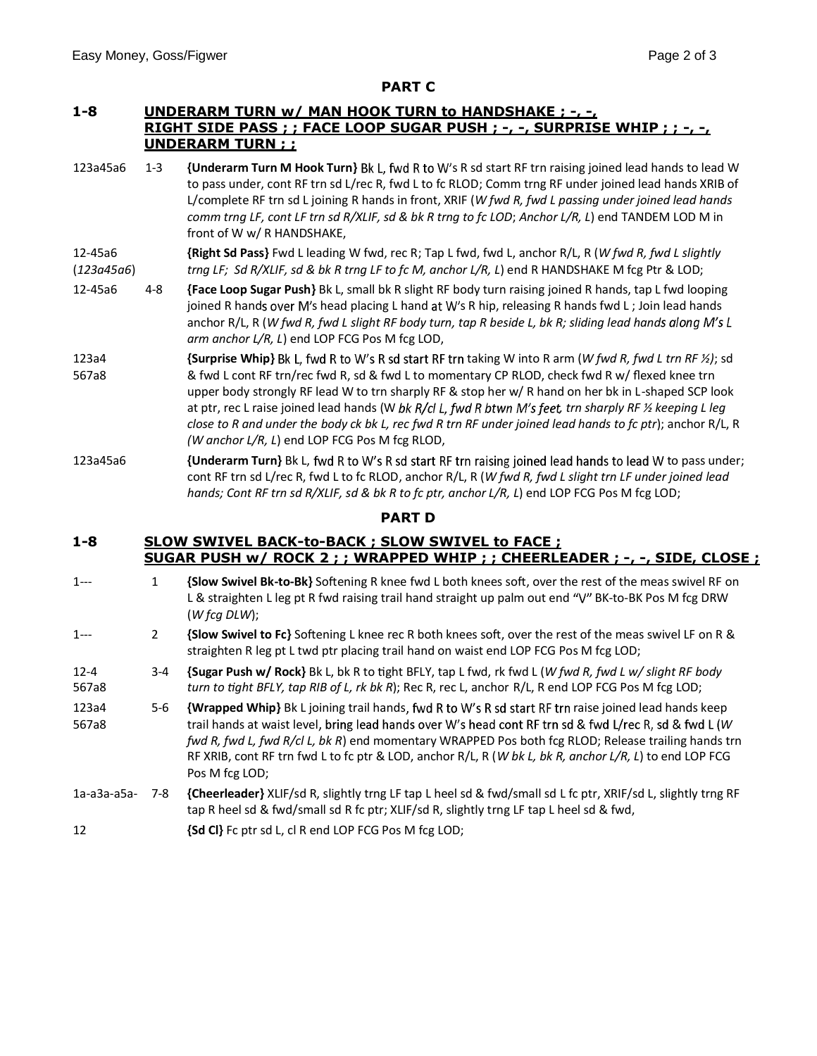#### **PART C**

### **1-8 UNDERARM TURN w/ MAN HOOK TURN to HANDSHAKE ; -, -, RIGHT SIDE PASS ; ; FACE LOOP SUGAR PUSH ; -, -, SURPRISE WHIP ; ; -, -, UNDERARM TURN ; ;**

123a45a6 1-3 **{Underarm Turn M Hook Turn}** Bk L, fwd R to W's R sd start RF trn raising joined lead hands to lead W to pass under, cont RF trn sd L/rec R, fwd L to fc RLOD; Comm trng RF under joined lead hands XRIB of L/complete RF trn sd L joining R hands in front, XRIF (*W fwd R, fwd L passing under joined lead hands comm trng LF, cont LF trn sd R/XLIF, sd & bk R trng to fc LOD*; *Anchor L/R, L*) end TANDEM LOD M in front of W w/ R HANDSHAKE,

#### 12-45a6 (*123a45a6*) **{Right Sd Pass}** Fwd L leading W fwd, rec R; Tap L fwd, fwd L, anchor R/L, R (*W fwd R, fwd L slightly trng LF; Sd R/XLIF, sd & bk R trng LF to fc M, anchor L/R, L*) end R HANDSHAKE M fcg Ptr & LOD;

- 12-45a6 4-8 **{Face Loop Sugar Push}** Bk L, small bk R slight RF body turn raising joined R hands, tap L fwd looping joined R hands over M's head placing L hand at W's R hip, releasing R hands fwd L; Join lead hands anchor R/L, R (*W fwd R, fwd L slight RF body turn, tap R beside L, bk R; sliding lead hand arm anchor L/R, L*) end LOP FCG Pos M fcg LOD,
- 123a4 567a8 {Surprise Whip} Bk L, fwd R to W's R sd start RF trn taking W into R arm (W fwd R, fwd L trn RF ½); sd & fwd L cont RF trn/rec fwd R, sd & fwd L to momentary CP RLOD, check fwd R w/ flexed knee trn upper body strongly RF lead W to trn sharply RF & stop her w/ R hand on her bk in L-shaped SCP look at ptr, rec L raise joined lead hands (W bk R/cl L, fwd R btwn M's feet, trn sharply RF ½ keeping L leg *close to R and under the body ck bk L, rec fwd R trn RF under joined lead hands to fc ptr*); anchor R/L, R *(W anchor L/R, L*) end LOP FCG Pos M fcg RLOD,
- 123a45a6 *{Underarm Turn}* Bk L, fwd R to W's R sd start RF trn raising joined lead hands to lead W to pass under; cont RF trn sd L/rec R, fwd L to fc RLOD, anchor R/L, R (*W fwd R, fwd L slight trn LF under joined lead hands; Cont RF trn sd R/XLIF, sd & bk R to fc ptr, anchor L/R, L*) end LOP FCG Pos M fcg LOD;

#### **PART D**

#### **1-8 SLOW SWIVEL BACK-to-BACK ; SLOW SWIVEL to FACE ; SUGAR PUSH w/ ROCK 2 ; ; WRAPPED WHIP ; ; CHEERLEADER ; -, -, SIDE, CLOSE ;**

- 1--- 1 **{Slow Swivel Bk-to-Bk}** Softening R knee fwd L both knees soft, over the rest of the meas swivel RF on L & straighten L leg pt R fwd raising trail hand straight up palm out end "V" BK-to-BK Pos M fcg DRW (*W fcg DLW*);
- 1--- 2 **{Slow Swivel to Fc}** Softening L knee rec R both knees soft, over the rest of the meas swivel LF on R & straighten R leg pt L twd ptr placing trail hand on waist end LOP FCG Pos M fcg LOD;

#### 12-4 567a8 3-4 **{Sugar Push w/ Rock}** Bk L, bk R to tight BFLY, tap L fwd, rk fwd L (*W fwd R, fwd L w/ slight RF body turn to tight BFLY, tap RIB of L, rk bk R*); Rec R, rec L, anchor R/L, R end LOP FCG Pos M fcg LOD;

- 123a4 567a8 5-6 **{Wrapped Whip}** Bk L joining trail hands, fwd R to W's R sd start RF trn raise joined lead hands keep trail hands at waist level, bring lead hands over W's head cont RF trn sd & fwd L/rec R, sd & fwd L (W *fwd R, fwd L, fwd R/cl L, bk R*) end momentary WRAPPED Pos both fcg RLOD; Release trailing hands trn RF XRIB, cont RF trn fwd L to fc ptr & LOD, anchor R/L, R (*W bk L, bk R, anchor L/R, L*) to end LOP FCG Pos M fcg LOD;
- 1a-a3a-a5a- 7-8 **{Cheerleader}** XLIF/sd R, slightly trng LF tap L heel sd & fwd/small sd L fc ptr, XRIF/sd L, slightly trng RF tap R heel sd & fwd/small sd R fc ptr; XLIF/sd R, slightly trng LF tap L heel sd & fwd,
- 12 **{Sd Cl}** Fc ptr sd L, cl R end LOP FCG Pos M fcg LOD;